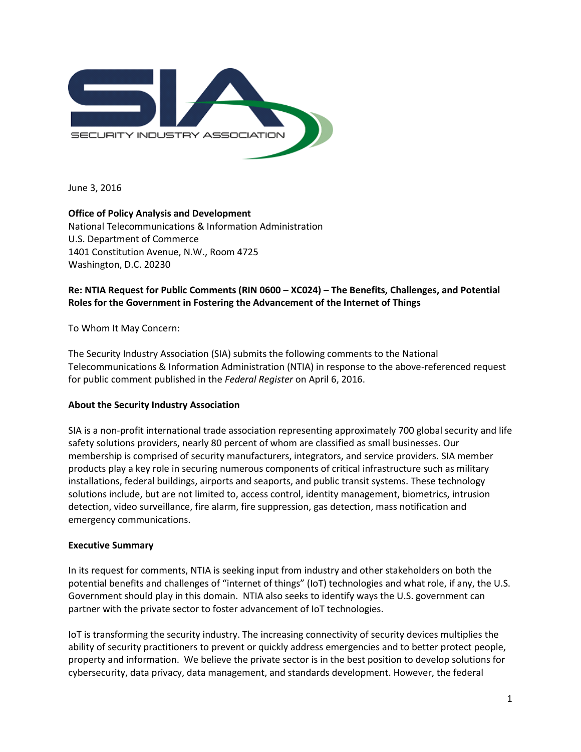

June 3, 2016

**Office of Policy Analysis and Development** National Telecommunications & Information Administration U.S. Department of Commerce 1401 Constitution Avenue, N.W., Room 4725 Washington, D.C. 20230

# **Re: NTIA Request for Public Comments (RIN 0600 – XC024) – The Benefits, Challenges, and Potential Roles for the Government in Fostering the Advancement of the Internet of Things**

To Whom It May Concern:

The Security Industry Association (SIA) submits the following comments to the National Telecommunications & Information Administration (NTIA) in response to the above-referenced request for public comment published in the *Federal Register* on April 6, 2016.

## **About the Security Industry Association**

SIA is a non-profit international trade association representing approximately 700 global security and life safety solutions providers, nearly 80 percent of whom are classified as small businesses. Our membership is comprised of security manufacturers, integrators, and service providers. SIA member products play a key role in securing numerous components of critical infrastructure such as military installations, federal buildings, airports and seaports, and public transit systems. These technology solutions include, but are not limited to, access control, identity management, biometrics, intrusion detection, video surveillance, fire alarm, fire suppression, gas detection, mass notification and emergency communications.

### **Executive Summary**

In its request for comments, NTIA is seeking input from industry and other stakeholders on both the potential benefits and challenges of "internet of things" (IoT) technologies and what role, if any, the U.S. Government should play in this domain. NTIA also seeks to identify ways the U.S. government can partner with the private sector to foster advancement of IoT technologies.

IoT is transforming the security industry. The increasing connectivity of security devices multiplies the ability of security practitioners to prevent or quickly address emergencies and to better protect people, property and information. We believe the private sector is in the best position to develop solutions for cybersecurity, data privacy, data management, and standards development. However, the federal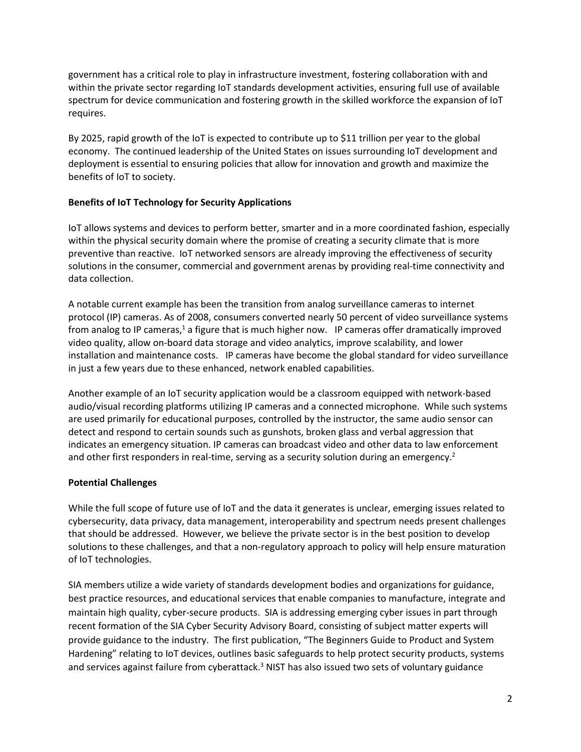government has a critical role to play in infrastructure investment, fostering collaboration with and within the private sector regarding IoT standards development activities, ensuring full use of available spectrum for device communication and fostering growth in the skilled workforce the expansion of IoT requires.

By 2025, rapid growth of the IoT is expected to contribute up to \$11 trillion per year to the global economy. The continued leadership of the United States on issues surrounding IoT development and deployment is essential to ensuring policies that allow for innovation and growth and maximize the benefits of IoT to society.

## **Benefits of IoT Technology for Security Applications**

IoT allows systems and devices to perform better, smarter and in a more coordinated fashion, especially within the physical security domain where the promise of creating a security climate that is more preventive than reactive. IoT networked sensors are already improving the effectiveness of security solutions in the consumer, commercial and government arenas by providing real-time connectivity and data collection.

A notable current example has been the transition from analog surveillance cameras to internet protocol (IP) cameras. As of 2008, consumers converted nearly 50 percent of video surveillance systems from analog to IP cameras,<sup>1</sup> a figure that is much higher now. IP cameras offer dramatically improved video quality, allow on-board data storage and video analytics, improve scalability, and lower installation and maintenance costs. IP cameras have become the global standard for video surveillance in just a few years due to these enhanced, network enabled capabilities.

Another example of an IoT security application would be a classroom equipped with network-based audio/visual recording platforms utilizing IP cameras and a connected microphone. While such systems are used primarily for educational purposes, controlled by the instructor, the same audio sensor can detect and respond to certain sounds such as gunshots, broken glass and verbal aggression that indicates an emergency situation. IP cameras can broadcast video and other data to law enforcement and other first responders in real-time, serving as a security solution during an emergency.<sup>2</sup>

## **Potential Challenges**

While the full scope of future use of IoT and the data it generates is unclear, emerging issues related to cybersecurity, data privacy, data management, interoperability and spectrum needs present challenges that should be addressed. However, we believe the private sector is in the best position to develop solutions to these challenges, and that a non-regulatory approach to policy will help ensure maturation of IoT technologies.

SIA members utilize a wide variety of standards development bodies and organizations for guidance, best practice resources, and educational services that enable companies to manufacture, integrate and maintain high quality, cyber-secure products. SIA is addressing emerging cyber issues in part through recent formation of the SIA Cyber Security Advisory Board, consisting of subject matter experts will provide guidance to the industry. The first publication, "The Beginners Guide to Product and System Hardening" relating to IoT devices, outlines basic safeguards to help protect security products, systems and services against failure from cyberattack.<sup>3</sup> NIST has also issued two sets of voluntary guidance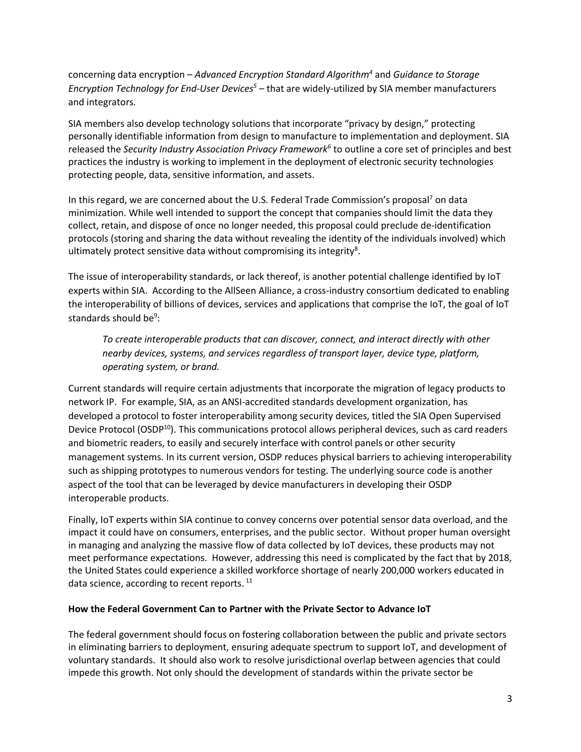concerning data encryption – *Advanced Encryption Standard Algorithm<sup>4</sup>* and *Guidance to Storage Encryption Technology for End-User Devices<sup>5</sup> –* that are widely-utilized by SIA member manufacturers and integrators*.* 

SIA members also develop technology solutions that incorporate "privacy by design," protecting personally identifiable information from design to manufacture to implementation and deployment. SIA released the *Security Industry Association Privacy Framework<sup>6</sup>* to outline a core set of principles and best practices the industry is working to implement in the deployment of electronic security technologies protecting people, data, sensitive information, and assets.

In this regard, we are concerned about the U.S. Federal Trade Commission's proposal<sup>7</sup> on data minimization. While well intended to support the concept that companies should limit the data they collect, retain, and dispose of once no longer needed, this proposal could preclude de-identification protocols (storing and sharing the data without revealing the identity of the individuals involved) which ultimately protect sensitive data without compromising its integrity<sup>8</sup>.

The issue of interoperability standards, or lack thereof, is another potential challenge identified by IoT experts within SIA. According to the AllSeen Alliance, a cross-industry consortium dedicated to enabling the interoperability of billions of devices, services and applications that comprise the IoT, the goal of IoT standards should be<sup>9</sup>:

*To create interoperable products that can discover, connect, and interact directly with other nearby devices, systems, and services regardless of transport layer, device type, platform, operating system, or brand.*

Current standards will require certain adjustments that incorporate the migration of legacy products to network IP. For example, SIA, as an ANSI-accredited standards development organization, has developed a protocol to foster interoperability among security devices, titled the SIA Open Supervised Device Protocol (OSDP<sup>10</sup>). This communications protocol allows peripheral devices, such as card readers and biometric readers, to easily and securely interface with control panels or other security management systems. In its current version, OSDP reduces physical barriers to achieving interoperability such as shipping prototypes to numerous vendors for testing. The underlying source code is another aspect of the tool that can be leveraged by device manufacturers in developing their OSDP interoperable products.

Finally, IoT experts within SIA continue to convey concerns over potential sensor data overload, and the impact it could have on consumers, enterprises, and the public sector. Without proper human oversight in managing and analyzing the massive flow of data collected by IoT devices, these products may not meet performance expectations. However, addressing this need is complicated by the fact that by 2018, the United States could experience a skilled workforce shortage of nearly 200,000 workers educated in data science, according to recent reports.<sup>11</sup>

### **How the Federal Government Can to Partner with the Private Sector to Advance IoT**

The federal government should focus on fostering collaboration between the public and private sectors in eliminating barriers to deployment, ensuring adequate spectrum to support IoT, and development of voluntary standards. It should also work to resolve jurisdictional overlap between agencies that could impede this growth. Not only should the development of standards within the private sector be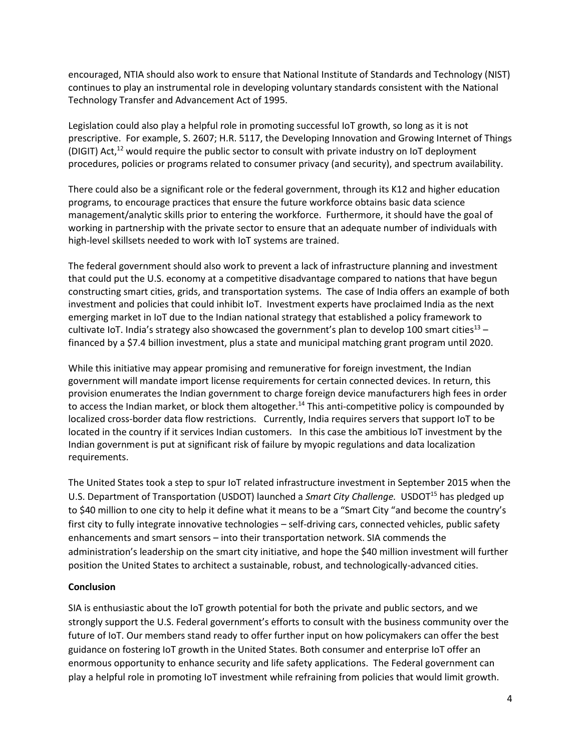encouraged, NTIA should also work to ensure that National Institute of Standards and Technology (NIST) continues to play an instrumental role in developing voluntary standards consistent with the National Technology Transfer and Advancement Act of 1995.

Legislation could also play a helpful role in promoting successful IoT growth, so long as it is not prescriptive. For example, S. 2607; H.R. 5117, the Developing Innovation and Growing Internet of Things (DIGIT) Act,<sup>12</sup> would require the public sector to consult with private industry on IoT deployment procedures, policies or programs related to consumer privacy (and security), and spectrum availability.

There could also be a significant role or the federal government, through its K12 and higher education programs, to encourage practices that ensure the future workforce obtains basic data science management/analytic skills prior to entering the workforce. Furthermore, it should have the goal of working in partnership with the private sector to ensure that an adequate number of individuals with high-level skillsets needed to work with IoT systems are trained.

The federal government should also work to prevent a lack of infrastructure planning and investment that could put the U.S. economy at a competitive disadvantage compared to nations that have begun constructing smart cities, grids, and transportation systems. The case of India offers an example of both investment and policies that could inhibit IoT. Investment experts have proclaimed India as the next emerging market in IoT due to the Indian national strategy that established a policy framework to cultivate IoT. India's strategy also showcased the government's plan to develop 100 smart cities<sup>13</sup> – financed by a \$7.4 billion investment, plus a state and municipal matching grant program until 2020.

While this initiative may appear promising and remunerative for foreign investment, the Indian government will mandate import license requirements for certain connected devices. In return, this provision enumerates the Indian government to charge foreign device manufacturers high fees in order to access the Indian market, or block them altogether.<sup>14</sup> This anti-competitive policy is compounded by localized cross-border data flow restrictions. Currently, India requires servers that support IoT to be located in the country if it services Indian customers. In this case the ambitious IoT investment by the Indian government is put at significant risk of failure by myopic regulations and data localization requirements.

The United States took a step to spur IoT related infrastructure investment in September 2015 when the U.S. Department of Transportation (USDOT) launched a *Smart City Challenge.* USDOT<sup>15</sup> has pledged up to \$40 million to one city to help it define what it means to be a "Smart City "and become the country's first city to fully integrate innovative technologies – self-driving cars, connected vehicles, public safety enhancements and smart sensors – into their transportation network. SIA commends the administration's leadership on the smart city initiative, and hope the \$40 million investment will further position the United States to architect a sustainable, robust, and technologically-advanced cities.

### **Conclusion**

SIA is enthusiastic about the IoT growth potential for both the private and public sectors, and we strongly support the U.S. Federal government's efforts to consult with the business community over the future of IoT. Our members stand ready to offer further input on how policymakers can offer the best guidance on fostering IoT growth in the United States. Both consumer and enterprise IoT offer an enormous opportunity to enhance security and life safety applications. The Federal government can play a helpful role in promoting IoT investment while refraining from policies that would limit growth.